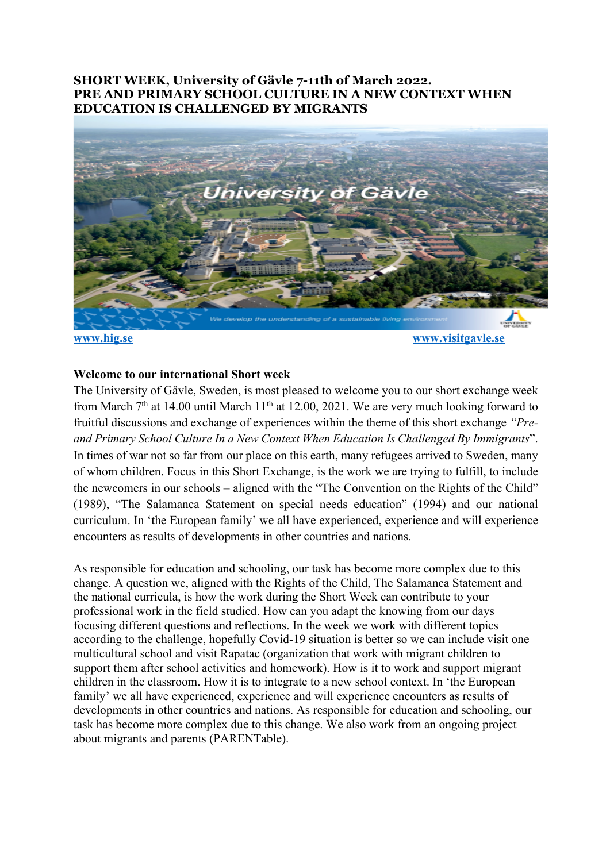# **SHORT WEEK, University of Gävle 7-11th of March 2022. PRE AND PRIMARY SCHOOL CULTURE IN A NEW CONTEXT WHEN EDUCATION IS CHALLENGED BY MIGRANTS**



### **Welcome to our international Short week**

The University of Gävle, Sweden, is most pleased to welcome you to our short exchange week from March  $7<sup>th</sup>$  at 14.00 until March 11<sup>th</sup> at 12.00, 2021. We are very much looking forward to fruitful discussions and exchange of experiences within the theme of this short exchange *"Preand Primary School Culture In a New Context When Education Is Challenged By Immigrants*". In times of war not so far from our place on this earth, many refugees arrived to Sweden, many of whom children. Focus in this Short Exchange, is the work we are trying to fulfill, to include the newcomers in our schools – aligned with the "The Convention on the Rights of the Child" (1989), "The Salamanca Statement on special needs education" (1994) and our national curriculum. In 'the European family' we all have experienced, experience and will experience encounters as results of developments in other countries and nations.

As responsible for education and schooling, our task has become more complex due to this change. A question we, aligned with the Rights of the Child, The Salamanca Statement and the national curricula, is how the work during the Short Week can contribute to your professional work in the field studied. How can you adapt the knowing from our days focusing different questions and reflections. In the week we work with different topics according to the challenge, hopefully Covid-19 situation is better so we can include visit one multicultural school and visit Rapatac (organization that work with migrant children to support them after school activities and homework). How is it to work and support migrant children in the classroom. How it is to integrate to a new school context. In 'the European family' we all have experienced, experience and will experience encounters as results of developments in other countries and nations. As responsible for education and schooling, our task has become more complex due to this change. We also work from an ongoing project about migrants and parents (PARENTable).